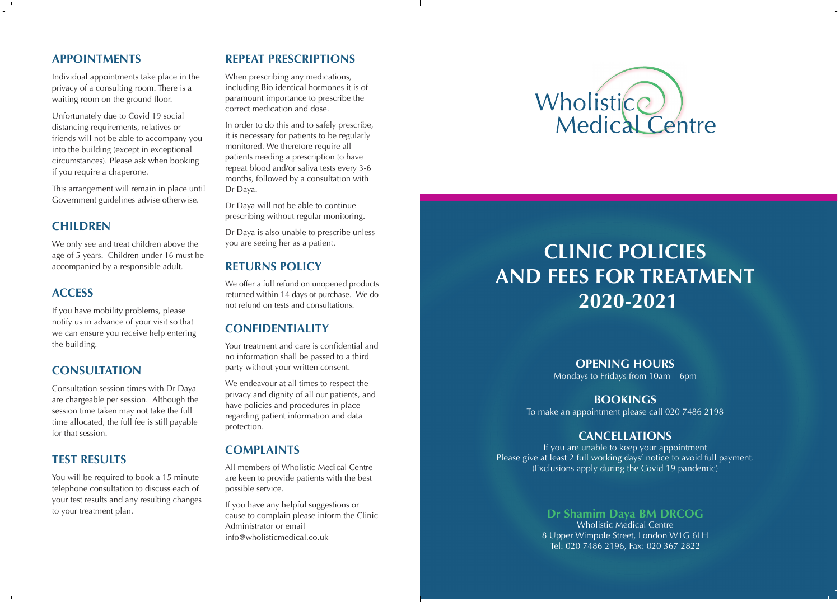### **APPOINTMENTS**

Individual appointments take place in the privacy of a consulting room. There is a waiting room on the ground floor.

Unfortunately due to Covid 19 social distancing requirements, relatives or friends will not be able to accompany you into the building (except in exceptional circumstances). Please ask when booking if you require a chaperone.

This arrangement will remain in place until Government guidelines advise otherwise.

## **CHILDREN**

We only see and treat children above the age of 5 years. Children under 16 must be accompanied by a responsible adult.

#### **ACCESS**

If you have mobility problems, please notify us in advance of your visit so that we can ensure you receive help entering the building.

## **CONSULTATION**

Consultation session times with Dr Daya are chargeable per session. Although the session time taken may not take the full time allocated, the full fee is still payable for that session.

# **TEST RESULTS**

You will be required to book a 15 minute telephone consultation to discuss each of your test results and any resulting changes to your treatment plan.

# **REPEAT PRESCRIPTIONS**

When prescribing any medications, including Bio identical hormones it is of paramount importance to prescribe the correct medication and dose.

In order to do this and to safely prescribe, it is necessary for patients to be regularly monitored. We therefore require all patients needing a prescription to have repeat blood and/or saliva tests every 3-6 months, followed by a consultation with Dr Daya.

Dr Daya will not be able to continue prescribing without regular monitoring.

Dr Daya is also unable to prescribe unless you are seeing her as a patient.

## **RETURNS POLICY**

We offer a full refund on unopened products returned within 14 days of purchase. We do not refund on tests and consultations.

# **CONFIDENTIALITY**

Your treatment and care is confidential and no information shall be passed to a third party without your written consent.

We endeavour at all times to respect the privacy and dignity of all our patients, and have policies and procedures in place regarding patient information and data protection.

### **COMPLAINTS**

All members of Wholistic Medical Centre are keen to provide patients with the best possible service.

If you have any helpful suggestions or cause to complain please inform the Clinic Administrator or email info@wholisticmedical.co.uk



 $\mathbf{1}$ 

# **CLINIC POLICIES AND FEES FOR TREATMENT 2020-2021**

#### **OPENING HOURS**

Mondays to Fridays from 10am – 6pm

#### **BOOKINGS**

To make an appointment please call 020 7486 2198

## **CANCELLATIONS**

If you are unable to keep your appointment Please give at least 2 full working days' notice to avoid full payment. (Exclusions apply during the Covid 19 pandemic)

## **Dr Shamim Daya BM DRCOG**

Wholistic Medical Centre 8 Upper Wimpole Street, London W1G 6LH Tel: 020 7486 2196, Fax: 020 367 2822